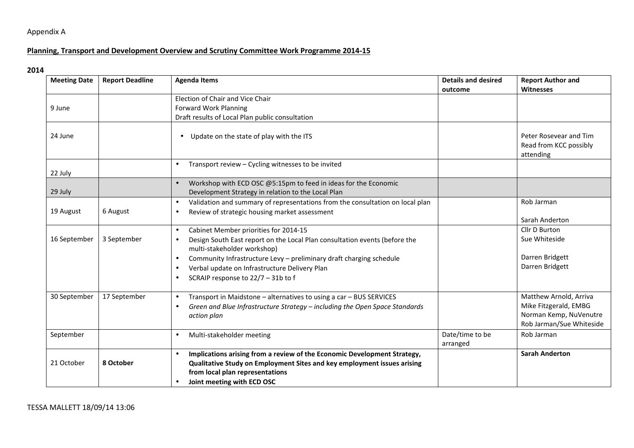## Appendix A

## **Planning, Transport and Development Overview and Scrutiny Committee Work Programme 2014-15**

## **2014**

| <b>Meeting Date</b> | <b>Report Deadline</b> | <b>Agenda Items</b>                                                                                                                                                                                                                                                                                                                                                               | <b>Details and desired</b><br>outcome | <b>Report Author and</b><br>Witnesses                                                                 |
|---------------------|------------------------|-----------------------------------------------------------------------------------------------------------------------------------------------------------------------------------------------------------------------------------------------------------------------------------------------------------------------------------------------------------------------------------|---------------------------------------|-------------------------------------------------------------------------------------------------------|
| 9 June              |                        | Election of Chair and Vice Chair<br><b>Forward Work Planning</b><br>Draft results of Local Plan public consultation                                                                                                                                                                                                                                                               |                                       |                                                                                                       |
| 24 June             |                        | Update on the state of play with the ITS<br>$\bullet$                                                                                                                                                                                                                                                                                                                             |                                       | Peter Rosevear and Tim<br>Read from KCC possibly<br>attending                                         |
| 22 July             |                        | Transport review - Cycling witnesses to be invited<br>$\bullet$                                                                                                                                                                                                                                                                                                                   |                                       |                                                                                                       |
| 29 July             |                        | Workshop with ECD OSC @5:15pm to feed in ideas for the Economic<br>$\bullet$<br>Development Strategy in relation to the Local Plan                                                                                                                                                                                                                                                |                                       |                                                                                                       |
| 19 August           | 6 August               | Validation and summary of representations from the consultation on local plan<br>$\bullet$<br>Review of strategic housing market assessment<br>$\bullet$                                                                                                                                                                                                                          |                                       | Rob Jarman<br>Sarah Anderton                                                                          |
| 16 September        | 3 September            | Cabinet Member priorities for 2014-15<br>$\bullet$<br>Design South East report on the Local Plan consultation events (before the<br>$\bullet$<br>multi-stakeholder workshop)<br>Community Infrastructure Levy - preliminary draft charging schedule<br>$\bullet$<br>Verbal update on Infrastructure Delivery Plan<br>$\bullet$<br>SCRAIP response to 22/7 - 31b to f<br>$\bullet$ |                                       | Cllr D Burton<br>Sue Whiteside<br>Darren Bridgett<br>Darren Bridgett                                  |
| 30 September        | 17 September           | Transport in Maidstone - alternatives to using a car - BUS SERVICES<br>$\bullet$<br>Green and Blue Infrastructure Strategy - including the Open Space Standards<br>$\bullet$<br>action plan                                                                                                                                                                                       |                                       | Matthew Arnold, Arriva<br>Mike Fitzgerald, EMBG<br>Norman Kemp, NuVenutre<br>Rob Jarman/Sue Whiteside |
| September           |                        | Multi-stakeholder meeting<br>$\bullet$                                                                                                                                                                                                                                                                                                                                            | Date/time to be<br>arranged           | Rob Jarman                                                                                            |
| 21 October          | 8 October              | Implications arising from a review of the Economic Development Strategy,<br>$\bullet$<br>Qualitative Study on Employment Sites and key employment issues arising<br>from local plan representations<br>Joint meeting with ECD OSC<br>$\bullet$                                                                                                                                    |                                       | <b>Sarah Anderton</b>                                                                                 |